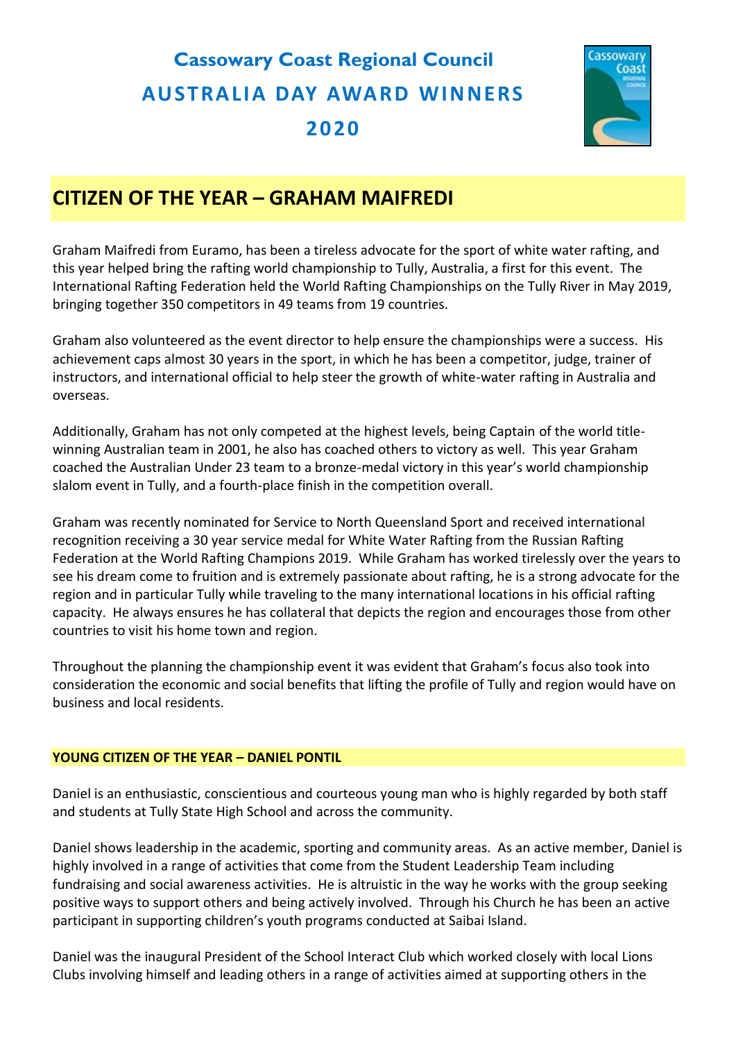# **Cassowary Coast Regional Council AU STRA LIA DAY AWA RD WIN NERS 2020**



# **CITIZEN OF THE YEAR – GRAHAM MAIFREDI**

Graham Maifredi from Euramo, has been a tireless advocate for the sport of white water rafting, and this year helped bring the rafting world championship to Tully, Australia, a first for this event. The International Rafting Federation held the World Rafting Championships on the Tully River in May 2019, bringing together 350 competitors in 49 teams from 19 countries.

Graham also volunteered as the event director to help ensure the championships were a success. His achievement caps almost 30 years in the sport, in which he has been a competitor, judge, trainer of instructors, and international official to help steer the growth of white-water rafting in Australia and overseas.

Additionally, Graham has not only competed at the highest levels, being Captain of the world titlewinning Australian team in 2001, he also has coached others to victory as well. This year Graham coached the Australian Under 23 team to a bronze-medal victory in this year's world championship slalom event in Tully, and a fourth-place finish in the competition overall.

Graham was recently nominated for Service to North Queensland Sport and received international recognition receiving a 30 year service medal for White Water Rafting from the Russian Rafting Federation at the World Rafting Champions 2019. While Graham has worked tirelessly over the years to see his dream come to fruition and is extremely passionate about rafting, he is a strong advocate for the region and in particular Tully while traveling to the many international locations in his official rafting capacity. He always ensures he has collateral that depicts the region and encourages those from other countries to visit his home town and region.

Throughout the planning the championship event it was evident that Graham's focus also took into consideration the economic and social benefits that lifting the profile of Tully and region would have on business and local residents.

# **YOUNG CITIZEN OF THE YEAR – DANIEL PONTIL**

Daniel is an enthusiastic, conscientious and courteous young man who is highly regarded by both staff and students at Tully State High School and across the community.

Daniel shows leadership in the academic, sporting and community areas. As an active member, Daniel is highly involved in a range of activities that come from the Student Leadership Team including fundraising and social awareness activities. He is altruistic in the way he works with the group seeking positive ways to support others and being actively involved. Through his Church he has been an active participant in supporting children's youth programs conducted at Saibai Island.

Daniel was the inaugural President of the School Interact Club which worked closely with local Lions Clubs involving himself and leading others in a range of activities aimed at supporting others in the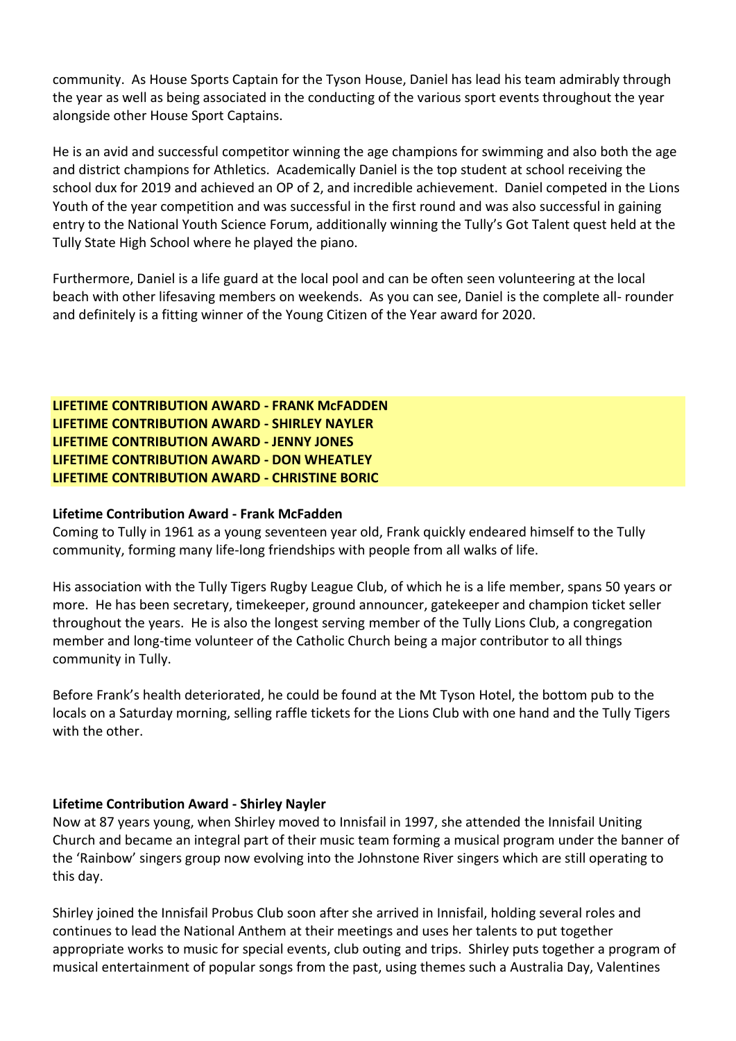community. As House Sports Captain for the Tyson House, Daniel has lead his team admirably through the year as well as being associated in the conducting of the various sport events throughout the year alongside other House Sport Captains.

He is an avid and successful competitor winning the age champions for swimming and also both the age and district champions for Athletics. Academically Daniel is the top student at school receiving the school dux for 2019 and achieved an OP of 2, and incredible achievement. Daniel competed in the Lions Youth of the year competition and was successful in the first round and was also successful in gaining entry to the National Youth Science Forum, additionally winning the Tully's Got Talent quest held at the Tully State High School where he played the piano.

Furthermore, Daniel is a life guard at the local pool and can be often seen volunteering at the local beach with other lifesaving members on weekends. As you can see, Daniel is the complete all- rounder and definitely is a fitting winner of the Young Citizen of the Year award for 2020.

**LIFETIME CONTRIBUTION AWARD - FRANK McFADDEN LIFETIME CONTRIBUTION AWARD - SHIRLEY NAYLER LIFETIME CONTRIBUTION AWARD - JENNY JONES LIFETIME CONTRIBUTION AWARD - DON WHEATLEY LIFETIME CONTRIBUTION AWARD - CHRISTINE BORIC**

### **Lifetime Contribution Award - Frank McFadden**

Coming to Tully in 1961 as a young seventeen year old, Frank quickly endeared himself to the Tully community, forming many life-long friendships with people from all walks of life.

His association with the Tully Tigers Rugby League Club, of which he is a life member, spans 50 years or more. He has been secretary, timekeeper, ground announcer, gatekeeper and champion ticket seller throughout the years. He is also the longest serving member of the Tully Lions Club, a congregation member and long-time volunteer of the Catholic Church being a major contributor to all things community in Tully.

Before Frank's health deteriorated, he could be found at the Mt Tyson Hotel, the bottom pub to the locals on a Saturday morning, selling raffle tickets for the Lions Club with one hand and the Tully Tigers with the other.

# **Lifetime Contribution Award - Shirley Nayler**

Now at 87 years young, when Shirley moved to Innisfail in 1997, she attended the Innisfail Uniting Church and became an integral part of their music team forming a musical program under the banner of the 'Rainbow' singers group now evolving into the Johnstone River singers which are still operating to this day.

Shirley joined the Innisfail Probus Club soon after she arrived in Innisfail, holding several roles and continues to lead the National Anthem at their meetings and uses her talents to put together appropriate works to music for special events, club outing and trips. Shirley puts together a program of musical entertainment of popular songs from the past, using themes such a Australia Day, Valentines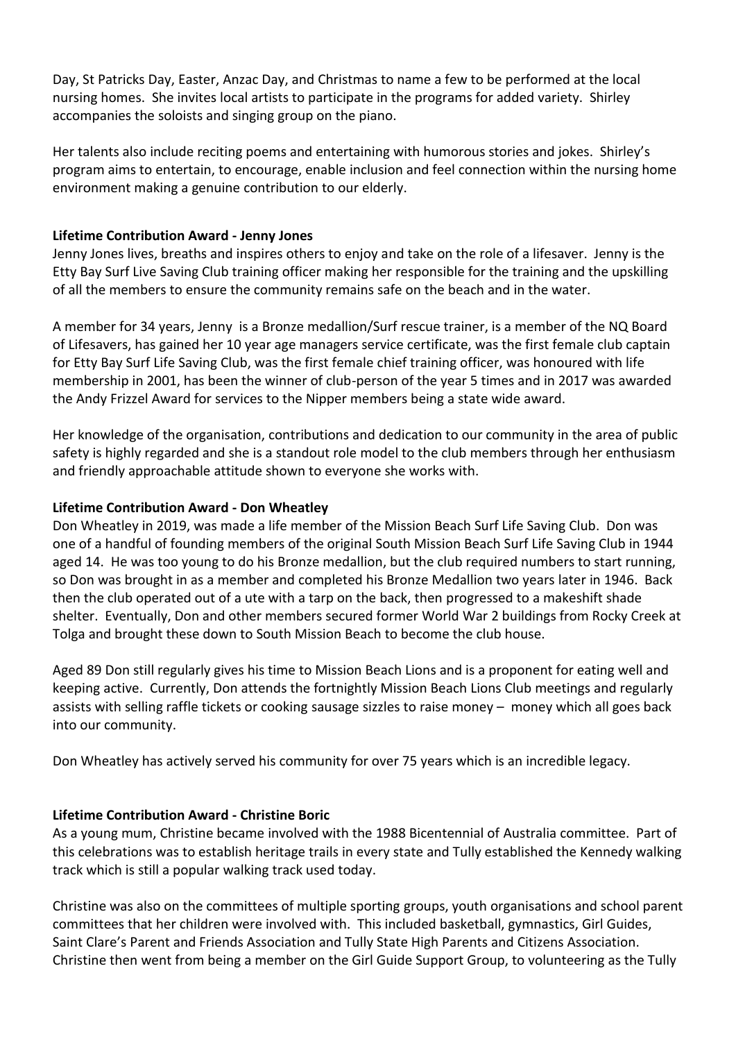Day, St Patricks Day, Easter, Anzac Day, and Christmas to name a few to be performed at the local nursing homes. She invites local artists to participate in the programs for added variety. Shirley accompanies the soloists and singing group on the piano.

Her talents also include reciting poems and entertaining with humorous stories and jokes. Shirley's program aims to entertain, to encourage, enable inclusion and feel connection within the nursing home environment making a genuine contribution to our elderly.

# **Lifetime Contribution Award - Jenny Jones**

Jenny Jones lives, breaths and inspires others to enjoy and take on the role of a lifesaver. Jenny is the Etty Bay Surf Live Saving Club training officer making her responsible for the training and the upskilling of all the members to ensure the community remains safe on the beach and in the water.

A member for 34 years, Jenny is a Bronze medallion/Surf rescue trainer, is a member of the NQ Board of Lifesavers, has gained her 10 year age managers service certificate, was the first female club captain for Etty Bay Surf Life Saving Club, was the first female chief training officer, was honoured with life membership in 2001, has been the winner of club-person of the year 5 times and in 2017 was awarded the Andy Frizzel Award for services to the Nipper members being a state wide award.

Her knowledge of the organisation, contributions and dedication to our community in the area of public safety is highly regarded and she is a standout role model to the club members through her enthusiasm and friendly approachable attitude shown to everyone she works with.

# **Lifetime Contribution Award - Don Wheatley**

Don Wheatley in 2019, was made a life member of the Mission Beach Surf Life Saving Club. Don was one of a handful of founding members of the original South Mission Beach Surf Life Saving Club in 1944 aged 14. He was too young to do his Bronze medallion, but the club required numbers to start running, so Don was brought in as a member and completed his Bronze Medallion two years later in 1946. Back then the club operated out of a ute with a tarp on the back, then progressed to a makeshift shade shelter. Eventually, Don and other members secured former World War 2 buildings from Rocky Creek at Tolga and brought these down to South Mission Beach to become the club house.

Aged 89 Don still regularly gives his time to Mission Beach Lions and is a proponent for eating well and keeping active. Currently, Don attends the fortnightly Mission Beach Lions Club meetings and regularly assists with selling raffle tickets or cooking sausage sizzles to raise money – money which all goes back into our community.

Don Wheatley has actively served his community for over 75 years which is an incredible legacy.

# **Lifetime Contribution Award - Christine Boric**

As a young mum, Christine became involved with the 1988 Bicentennial of Australia committee. Part of this celebrations was to establish heritage trails in every state and Tully established the Kennedy walking track which is still a popular walking track used today.

Christine was also on the committees of multiple sporting groups, youth organisations and school parent committees that her children were involved with. This included basketball, gymnastics, Girl Guides, Saint Clare's Parent and Friends Association and Tully State High Parents and Citizens Association. Christine then went from being a member on the Girl Guide Support Group, to volunteering as the Tully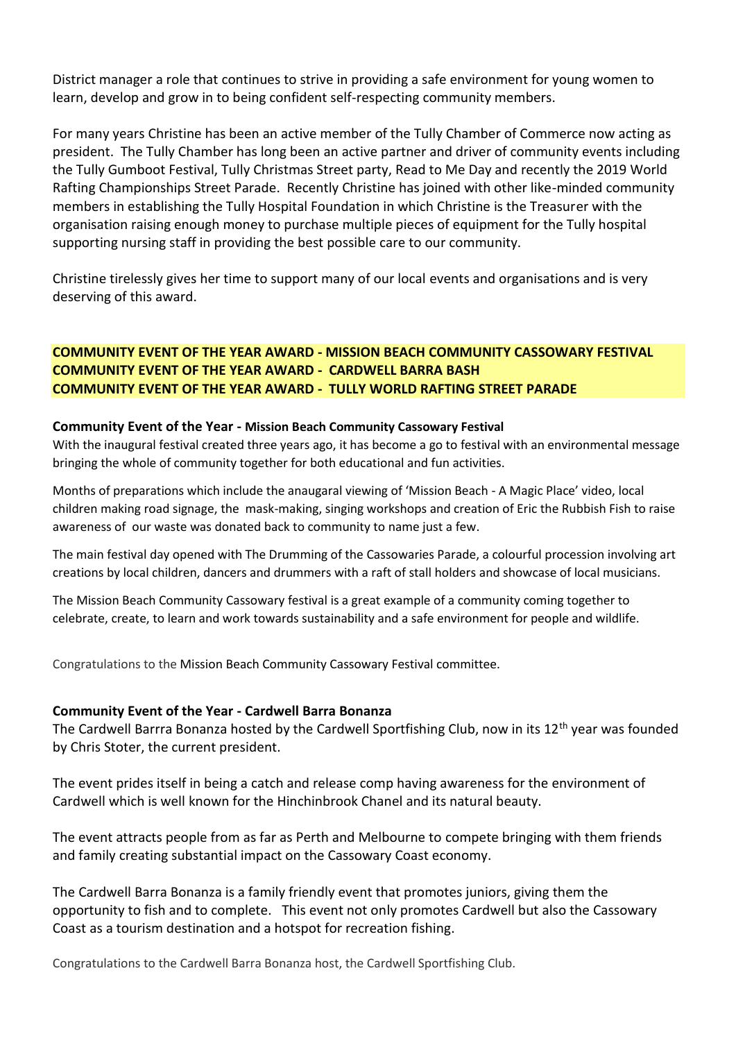District manager a role that continues to strive in providing a safe environment for young women to learn, develop and grow in to being confident self-respecting community members.

For many years Christine has been an active member of the Tully Chamber of Commerce now acting as president. The Tully Chamber has long been an active partner and driver of community events including the Tully Gumboot Festival, Tully Christmas Street party, Read to Me Day and recently the 2019 World Rafting Championships Street Parade. Recently Christine has joined with other like-minded community members in establishing the Tully Hospital Foundation in which Christine is the Treasurer with the organisation raising enough money to purchase multiple pieces of equipment for the Tully hospital supporting nursing staff in providing the best possible care to our community.

Christine tirelessly gives her time to support many of our local events and organisations and is very deserving of this award.

# **COMMUNITY EVENT OF THE YEAR AWARD - MISSION BEACH COMMUNITY CASSOWARY FESTIVAL COMMUNITY EVENT OF THE YEAR AWARD - CARDWELL BARRA BASH COMMUNITY EVENT OF THE YEAR AWARD - TULLY WORLD RAFTING STREET PARADE**

#### **Community Event of the Year - Mission Beach Community Cassowary Festival**

With the inaugural festival created three years ago, it has become a go to festival with an environmental message bringing the whole of community together for both educational and fun activities.

Months of preparations which include the anaugaral viewing of 'Mission Beach - A Magic Place' video, local children making road signage, the mask-making, singing workshops and creation of Eric the Rubbish Fish to raise awareness of our waste was donated back to community to name just a few.

The main festival day opened with The Drumming of the Cassowaries Parade, a colourful procession involving art creations by local children, dancers and drummers with a raft of stall holders and showcase of local musicians.

The Mission Beach Community Cassowary festival is a great example of a community coming together to celebrate, create, to learn and work towards sustainability and a safe environment for people and wildlife.

Congratulations to the Mission Beach Community Cassowary Festival committee.

#### **Community Event of the Year - Cardwell Barra Bonanza**

The Cardwell Barrra Bonanza hosted by the Cardwell Sportfishing Club, now in its 12<sup>th</sup> year was founded by Chris Stoter, the current president.

The event prides itself in being a catch and release comp having awareness for the environment of Cardwell which is well known for the Hinchinbrook Chanel and its natural beauty.

The event attracts people from as far as Perth and Melbourne to compete bringing with them friends and family creating substantial impact on the Cassowary Coast economy.

The Cardwell Barra Bonanza is a family friendly event that promotes juniors, giving them the opportunity to fish and to complete. This event not only promotes Cardwell but also the Cassowary Coast as a tourism destination and a hotspot for recreation fishing.

Congratulations to the Cardwell Barra Bonanza host, the Cardwell Sportfishing Club.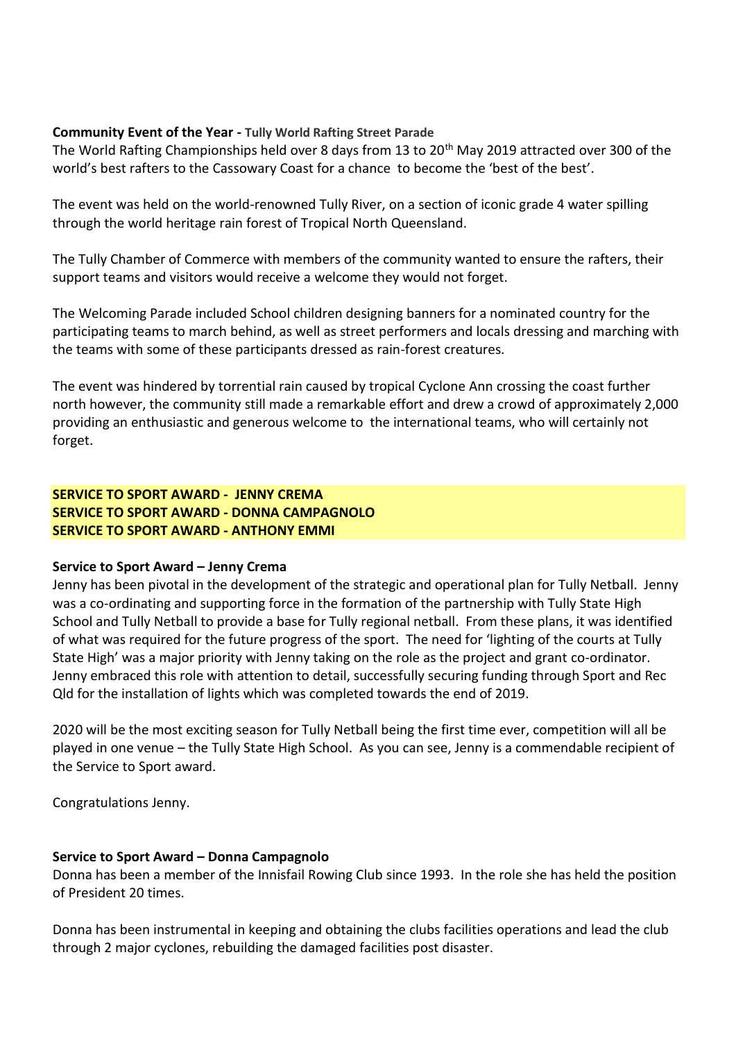#### **Community Event of the Year - Tully World Rafting Street Parade**

The World Rafting Championships held over 8 days from 13 to 20th May 2019 attracted over 300 of the world's best rafters to the Cassowary Coast for a chance to become the 'best of the best'.

The event was held on the world-renowned Tully River, on a section of iconic grade 4 water spilling through the world heritage rain forest of Tropical North Queensland.

The Tully Chamber of Commerce with members of the community wanted to ensure the rafters, their support teams and visitors would receive a welcome they would not forget.

The Welcoming Parade included School children designing banners for a nominated country for the participating teams to march behind, as well as street performers and locals dressing and marching with the teams with some of these participants dressed as rain-forest creatures.

The event was hindered by torrential rain caused by tropical Cyclone Ann crossing the coast further north however, the community still made a remarkable effort and drew a crowd of approximately 2,000 providing an enthusiastic and generous welcome to the international teams, who will certainly not forget.

**SERVICE TO SPORT AWARD - JENNY CREMA SERVICE TO SPORT AWARD - DONNA CAMPAGNOLO SERVICE TO SPORT AWARD - ANTHONY EMMI**

# **Service to Sport Award – Jenny Crema**

Jenny has been pivotal in the development of the strategic and operational plan for Tully Netball. Jenny was a co-ordinating and supporting force in the formation of the partnership with Tully State High School and Tully Netball to provide a base for Tully regional netball. From these plans, it was identified of what was required for the future progress of the sport. The need for 'lighting of the courts at Tully State High' was a major priority with Jenny taking on the role as the project and grant co-ordinator. Jenny embraced this role with attention to detail, successfully securing funding through Sport and Rec Qld for the installation of lights which was completed towards the end of 2019.

2020 will be the most exciting season for Tully Netball being the first time ever, competition will all be played in one venue – the Tully State High School. As you can see, Jenny is a commendable recipient of the Service to Sport award.

Congratulations Jenny.

# **Service to Sport Award – Donna Campagnolo**

Donna has been a member of the Innisfail Rowing Club since 1993. In the role she has held the position of President 20 times.

Donna has been instrumental in keeping and obtaining the clubs facilities operations and lead the club through 2 major cyclones, rebuilding the damaged facilities post disaster.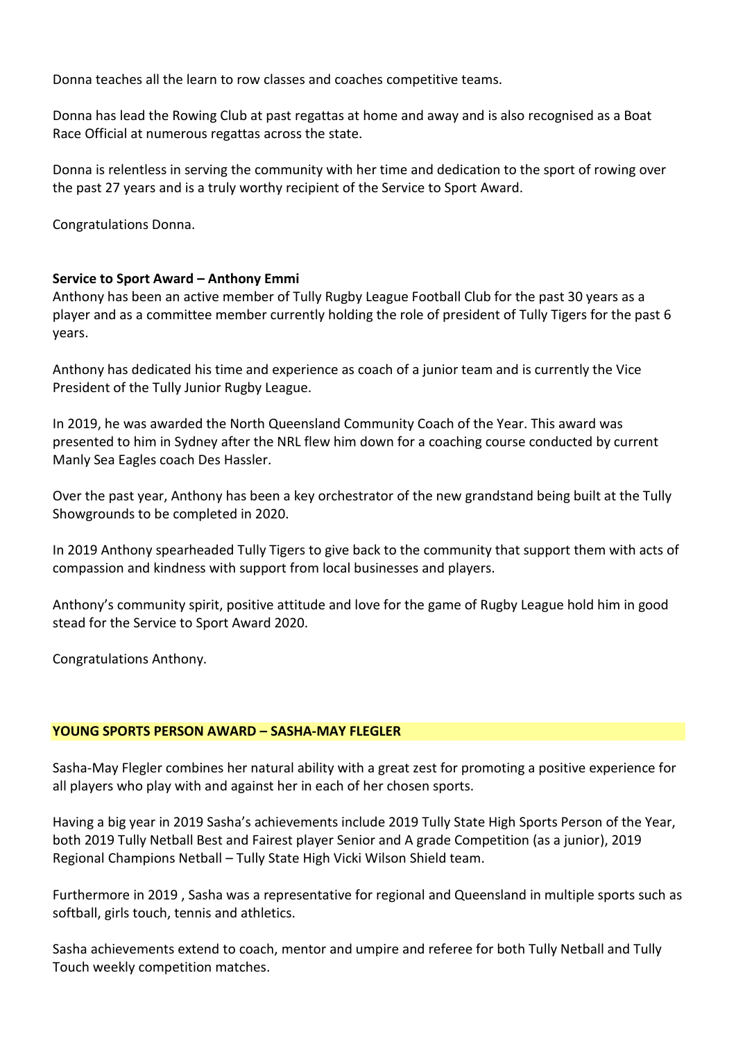Donna teaches all the learn to row classes and coaches competitive teams.

Donna has lead the Rowing Club at past regattas at home and away and is also recognised as a Boat Race Official at numerous regattas across the state.

Donna is relentless in serving the community with her time and dedication to the sport of rowing over the past 27 years and is a truly worthy recipient of the Service to Sport Award.

Congratulations Donna.

#### **Service to Sport Award – Anthony Emmi**

Anthony has been an active member of Tully Rugby League Football Club for the past 30 years as a player and as a committee member currently holding the role of president of Tully Tigers for the past 6 years.

Anthony has dedicated his time and experience as coach of a junior team and is currently the Vice President of the Tully Junior Rugby League.

In 2019, he was awarded the North Queensland Community Coach of the Year. This award was presented to him in Sydney after the NRL flew him down for a coaching course conducted by current Manly Sea Eagles coach Des Hassler.

Over the past year, Anthony has been a key orchestrator of the new grandstand being built at the Tully Showgrounds to be completed in 2020.

In 2019 Anthony spearheaded Tully Tigers to give back to the community that support them with acts of compassion and kindness with support from local businesses and players.

Anthony's community spirit, positive attitude and love for the game of Rugby League hold him in good stead for the Service to Sport Award 2020.

Congratulations Anthony.

#### **YOUNG SPORTS PERSON AWARD – SASHA-MAY FLEGLER**

Sasha-May Flegler combines her natural ability with a great zest for promoting a positive experience for all players who play with and against her in each of her chosen sports.

Having a big year in 2019 Sasha's achievements include 2019 Tully State High Sports Person of the Year, both 2019 Tully Netball Best and Fairest player Senior and A grade Competition (as a junior), 2019 Regional Champions Netball – Tully State High Vicki Wilson Shield team.

Furthermore in 2019 , Sasha was a representative for regional and Queensland in multiple sports such as softball, girls touch, tennis and athletics.

Sasha achievements extend to coach, mentor and umpire and referee for both Tully Netball and Tully Touch weekly competition matches.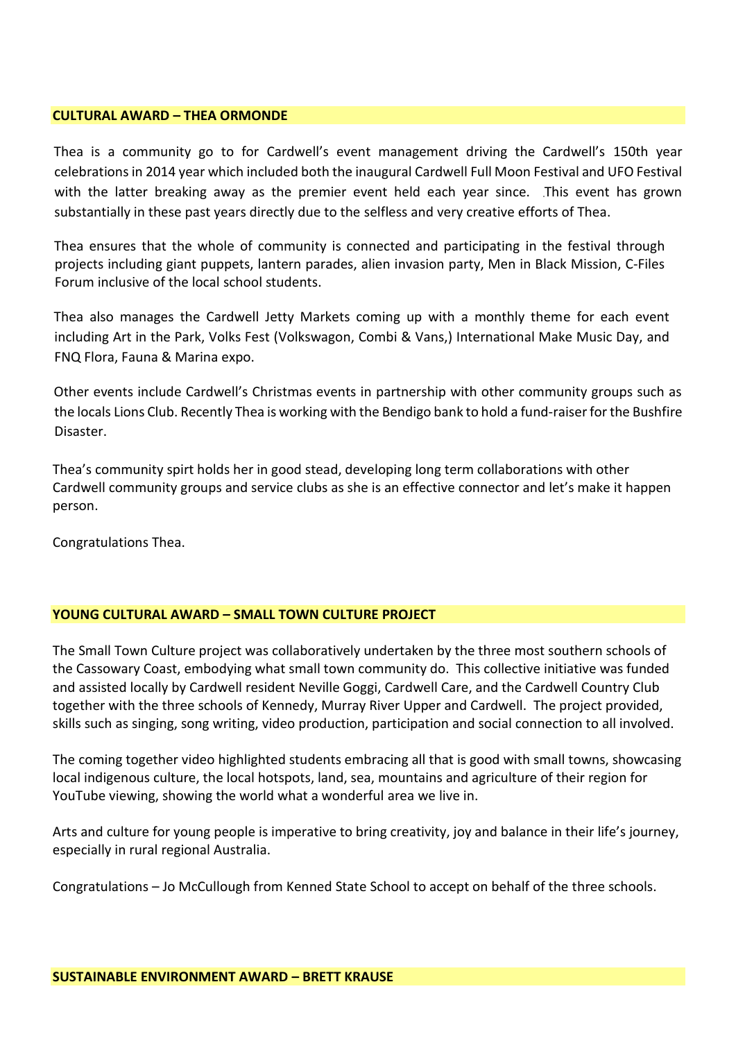#### **CULTURAL AWARD – THEA ORMONDE**

Thea is a community go to for Cardwell's event management driving the Cardwell's 150th year celebrations in 2014 year which included both the inaugural Cardwell Full Moon Festival and UFO Festival with the latter breaking away as the premier event held each year since. This event has grown substantially in these past years directly due to the selfless and very creative efforts of Thea.

Thea ensures that the whole of community is connected and participating in the festival through projects including giant puppets, lantern parades, alien invasion party, Men in Black Mission, C-Files Forum inclusive of the local school students.

Thea also manages the Cardwell Jetty Markets coming up with a monthly theme for each event including Art in the Park, Volks Fest (Volkswagon, Combi & Vans,) International Make Music Day, and FNQ Flora, Fauna & Marina expo.

Other events include Cardwell's Christmas events in partnership with other community groups such as the locals Lions Club. Recently Thea is working with the Bendigo bank to hold a fund-raiser for the Bushfire Disaster.

Thea's community spirt holds her in good stead, developing long term collaborations with other Cardwell community groups and service clubs as she is an effective connector and let's make it happen person.

Congratulations Thea.

#### **YOUNG CULTURAL AWARD – SMALL TOWN CULTURE PROJECT**

The Small Town Culture project was collaboratively undertaken by the three most southern schools of the Cassowary Coast, embodying what small town community do. This collective initiative was funded and assisted locally by Cardwell resident Neville Goggi, Cardwell Care, and the Cardwell Country Club together with the three schools of Kennedy, Murray River Upper and Cardwell. The project provided, skills such as singing, song writing, video production, participation and social connection to all involved.

The coming together video highlighted students embracing all that is good with small towns, showcasing local indigenous culture, the local hotspots, land, sea, mountains and agriculture of their region for YouTube viewing, showing the world what a wonderful area we live in.

Arts and culture for young people is imperative to bring creativity, joy and balance in their life's journey, especially in rural regional Australia.

Congratulations – Jo McCullough from Kenned State School to accept on behalf of the three schools.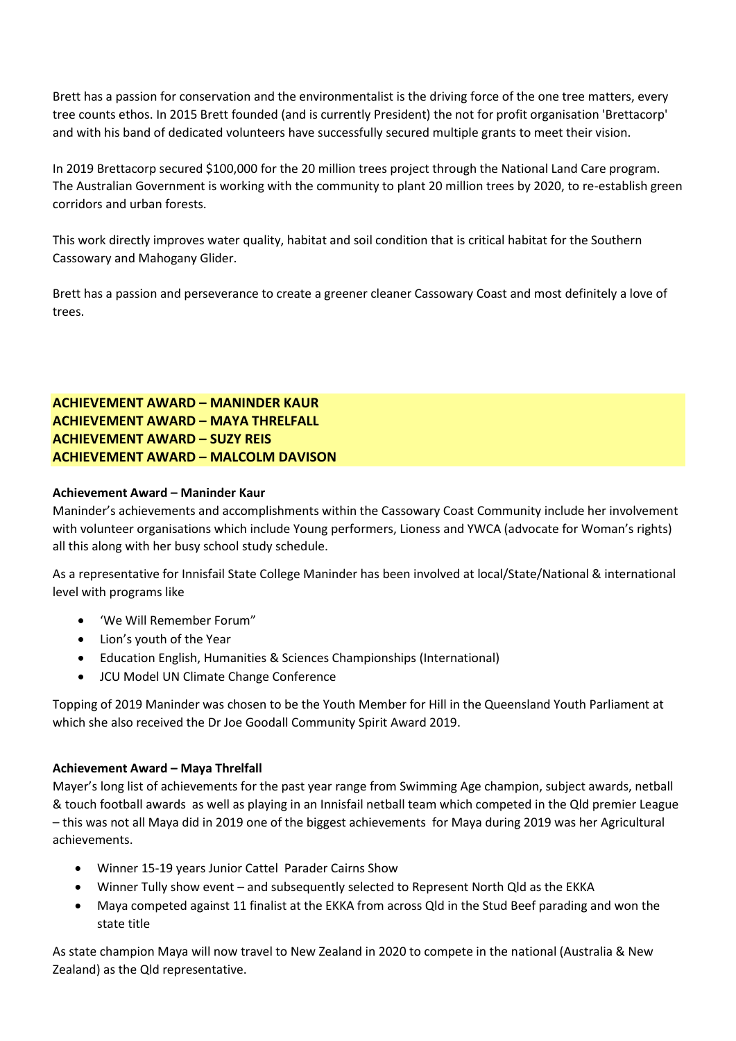Brett has a passion for conservation and the environmentalist is the driving force of the one tree matters, every tree counts ethos. In 2015 Brett founded (and is currently President) the not for profit organisation 'Brettacorp' and with his band of dedicated volunteers have successfully secured multiple grants to meet their vision.

In 2019 Brettacorp secured \$100,000 for the 20 million trees project through the National Land Care program. The Australian Government is working with the community to plant 20 million trees by 2020, to re-establish green corridors and urban forests.

This work directly improves water quality, habitat and soil condition that is critical habitat for the Southern Cassowary and Mahogany Glider.

Brett has a passion and perseverance to create a greener cleaner Cassowary Coast and most definitely a love of trees.

# **ACHIEVEMENT AWARD – MANINDER KAUR ACHIEVEMENT AWARD – MAYA THRELFALL ACHIEVEMENT AWARD – SUZY REIS ACHIEVEMENT AWARD – MALCOLM DAVISON**

#### **Achievement Award – Maninder Kaur**

Maninder's achievements and accomplishments within the Cassowary Coast Community include her involvement with volunteer organisations which include Young performers, Lioness and YWCA (advocate for Woman's rights) all this along with her busy school study schedule.

As a representative for Innisfail State College Maninder has been involved at local/State/National & international level with programs like

- 'We Will Remember Forum"
- Lion's youth of the Year
- Education English, Humanities & Sciences Championships (International)
- JCU Model UN Climate Change Conference

Topping of 2019 Maninder was chosen to be the Youth Member for Hill in the Queensland Youth Parliament at which she also received the Dr Joe Goodall Community Spirit Award 2019.

#### **Achievement Award – Maya Threlfall**

Mayer's long list of achievements for the past year range from Swimming Age champion, subject awards, netball & touch football awards as well as playing in an Innisfail netball team which competed in the Qld premier League – this was not all Maya did in 2019 one of the biggest achievements for Maya during 2019 was her Agricultural achievements.

- Winner 15-19 years Junior Cattel Parader Cairns Show
- Winner Tully show event and subsequently selected to Represent North Qld as the EKKA
- Maya competed against 11 finalist at the EKKA from across Qld in the Stud Beef parading and won the state title

As state champion Maya will now travel to New Zealand in 2020 to compete in the national (Australia & New Zealand) as the Qld representative.